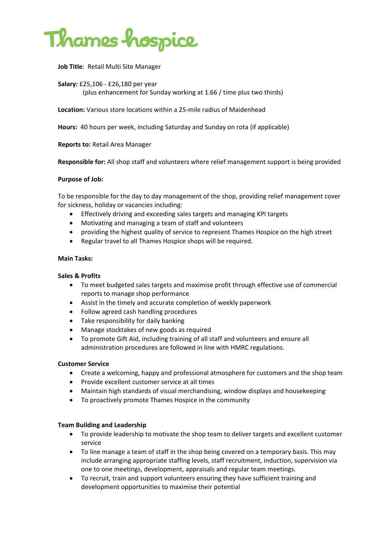

**Job Title**: Retail Multi Site Manager

**Salary:** £25,106 ‐ £26,180 per year (plus enhancement for Sunday working at 1.66 / time plus two thirds)

**Location:** Various store locations within a 25‐mile radius of Maidenhead

**Hours:** 40 hours per week, including Saturday and Sunday on rota (if applicable)

**Reports to:** Retail Area Manager

**Responsible for:** All shop staff and volunteers where relief management support is being provided

#### **Purpose of Job:**

To be responsible for the day to day management of the shop, providing relief management cover for sickness, holiday or vacancies including:

- Effectively driving and exceeding sales targets and managing KPI targets
- Motivating and managing a team of staff and volunteers
- providing the highest quality of service to represent Thames Hospice on the high street
- Regular travel to all Thames Hospice shops will be required.

#### **Main Tasks:**

#### **Sales & Profits**

- To meet budgeted sales targets and maximise profit through effective use of commercial reports to manage shop performance
- Assist in the timely and accurate completion of weekly paperwork
- Follow agreed cash handling procedures
- Take responsibility for daily banking
- Manage stocktakes of new goods as required
- To promote Gift Aid, including training of all staff and volunteers and ensure all administration procedures are followed in line with HMRC regulations.

#### **Customer Service**

- Create a welcoming, happy and professional atmosphere for customers and the shop team
- Provide excellent customer service at all times
- Maintain high standards of visual merchandising, window displays and housekeeping
- To proactively promote Thames Hospice in the community

#### **Team Building and Leadership**

- To provide leadership to motivate the shop team to deliver targets and excellent customer service
- To line manage a team of staff in the shop being covered on a temporary basis. This may include arranging appropriate staffing levels, staff recruitment, induction, supervision via one to one meetings, development, appraisals and regular team meetings.
- To recruit, train and support volunteers ensuring they have sufficient training and development opportunities to maximise their potential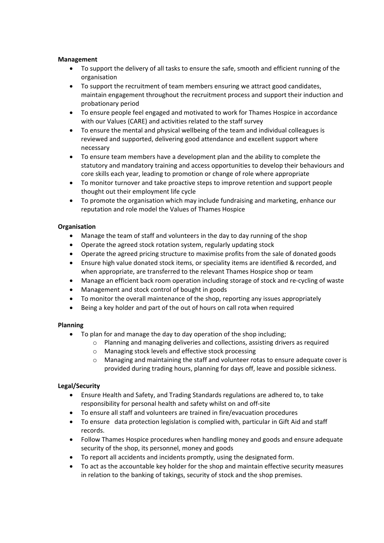#### **Management**

- To support the delivery of all tasks to ensure the safe, smooth and efficient running of the organisation
- To support the recruitment of team members ensuring we attract good candidates, maintain engagement throughout the recruitment process and support their induction and probationary period
- To ensure people feel engaged and motivated to work for Thames Hospice in accordance with our Values (CARE) and activities related to the staff survey
- To ensure the mental and physical wellbeing of the team and individual colleagues is reviewed and supported, delivering good attendance and excellent support where necessary
- To ensure team members have a development plan and the ability to complete the statutory and mandatory training and access opportunities to develop their behaviours and core skills each year, leading to promotion or change of role where appropriate
- To monitor turnover and take proactive steps to improve retention and support people thought out their employment life cycle
- To promote the organisation which may include fundraising and marketing, enhance our reputation and role model the Values of Thames Hospice

## **Organisation**

- Manage the team of staff and volunteers in the day to day running of the shop
- Operate the agreed stock rotation system, regularly updating stock
- Operate the agreed pricing structure to maximise profits from the sale of donated goods
- Ensure high value donated stock items, or speciality items are identified & recorded, and when appropriate, are transferred to the relevant Thames Hospice shop or team
- Manage an efficient back room operation including storage of stock and re‐cycling of waste
- Management and stock control of bought in goods
- To monitor the overall maintenance of the shop, reporting any issues appropriately
- Being a key holder and part of the out of hours on call rota when required

# **Planning**

- To plan for and manage the day to day operation of the shop including;
	- o Planning and managing deliveries and collections, assisting drivers as required
	- o Managing stock levels and effective stock processing
	- o Managing and maintaining the staff and volunteer rotas to ensure adequate cover is provided during trading hours, planning for days off, leave and possible sickness.

#### **Legal/Security**

- Ensure Health and Safety, and Trading Standards regulations are adhered to, to take responsibility for personal health and safety whilst on and off‐site
- To ensure all staff and volunteers are trained in fire/evacuation procedures
- To ensure data protection legislation is complied with, particular in Gift Aid and staff records.
- Follow Thames Hospice procedures when handling money and goods and ensure adequate security of the shop, its personnel, money and goods
- To report all accidents and incidents promptly, using the designated form.
- To act as the accountable key holder for the shop and maintain effective security measures in relation to the banking of takings, security of stock and the shop premises.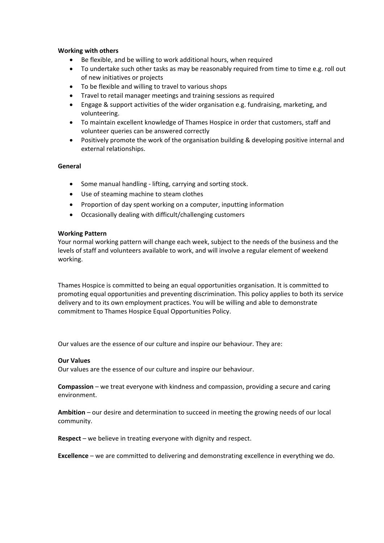#### **Working with others**

- Be flexible, and be willing to work additional hours, when required
- To undertake such other tasks as may be reasonably required from time to time e.g. roll out of new initiatives or projects
- To be flexible and willing to travel to various shops
- Travel to retail manager meetings and training sessions as required
- Engage & support activities of the wider organisation e.g. fundraising, marketing, and volunteering.
- To maintain excellent knowledge of Thames Hospice in order that customers, staff and volunteer queries can be answered correctly
- Positively promote the work of the organisation building & developing positive internal and external relationships.

#### **General**

- Some manual handling lifting, carrying and sorting stock.
- Use of steaming machine to steam clothes
- Proportion of day spent working on a computer, inputting information
- Occasionally dealing with difficult/challenging customers

#### **Working Pattern**

Your normal working pattern will change each week, subject to the needs of the business and the levels of staff and volunteers available to work, and will involve a regular element of weekend working.

Thames Hospice is committed to being an equal opportunities organisation. It is committed to promoting equal opportunities and preventing discrimination. This policy applies to both its service delivery and to its own employment practices. You will be willing and able to demonstrate commitment to Thames Hospice Equal Opportunities Policy.

Our values are the essence of our culture and inspire our behaviour. They are:

#### **Our Values**

Our values are the essence of our culture and inspire our behaviour.

**Compassion** – we treat everyone with kindness and compassion, providing a secure and caring environment.

**Ambition** – our desire and determination to succeed in meeting the growing needs of our local community.

**Respect** – we believe in treating everyone with dignity and respect.

**Excellence** – we are committed to delivering and demonstrating excellence in everything we do.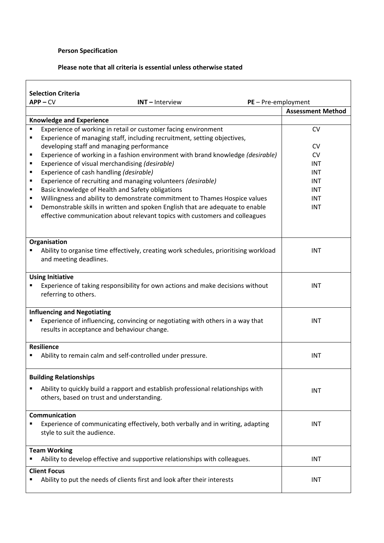# **Person Specification**

### **Please note that all criteria is essential unless otherwise stated**

| <b>Selection Criteria</b>                                                             |                          |
|---------------------------------------------------------------------------------------|--------------------------|
| $APP - CV$<br>$PE - Pre-employment$<br>$INT - Interview$                              |                          |
|                                                                                       | <b>Assessment Method</b> |
| <b>Knowledge and Experience</b>                                                       |                          |
| Experience of working in retail or customer facing environment<br>٠                   | <b>CV</b>                |
| Experience of managing staff, including recruitment, setting objectives,<br>п         |                          |
| developing staff and managing performance                                             | <b>CV</b>                |
| Experience of working in a fashion environment with brand knowledge (desirable)<br>٠  | <b>CV</b>                |
| Experience of visual merchandising (desirable)<br>٠                                   | INT                      |
| Experience of cash handling (desirable)<br>п                                          | <b>INT</b>               |
| Experience of recruiting and managing volunteers (desirable)<br>٠                     | <b>INT</b>               |
| Basic knowledge of Health and Safety obligations<br>٠                                 | <b>INT</b>               |
| Willingness and ability to demonstrate commitment to Thames Hospice values<br>٠       | <b>INT</b>               |
| Demonstrable skills in written and spoken English that are adequate to enable<br>٠    | <b>INT</b>               |
| effective communication about relevant topics with customers and colleagues           |                          |
|                                                                                       |                          |
|                                                                                       |                          |
| Organisation                                                                          |                          |
| Ability to organise time effectively, creating work schedules, prioritising workload  | <b>INT</b>               |
| and meeting deadlines.                                                                |                          |
|                                                                                       |                          |
| <b>Using Initiative</b>                                                               |                          |
| Experience of taking responsibility for own actions and make decisions without        | <b>INT</b>               |
| referring to others.                                                                  |                          |
|                                                                                       |                          |
| <b>Influencing and Negotiating</b>                                                    |                          |
| Experience of influencing, convincing or negotiating with others in a way that        | <b>INT</b>               |
| results in acceptance and behaviour change.                                           |                          |
|                                                                                       |                          |
| <b>Resilience</b>                                                                     |                          |
| Ability to remain calm and self-controlled under pressure.                            | <b>INT</b>               |
|                                                                                       |                          |
|                                                                                       |                          |
| <b>Building Relationships</b>                                                         |                          |
| Ability to quickly build a rapport and establish professional relationships with<br>п | <b>INT</b>               |
| others, based on trust and understanding.                                             |                          |
|                                                                                       |                          |
| Communication                                                                         |                          |
| Experience of communicating effectively, both verbally and in writing, adapting       | <b>INT</b>               |
| style to suit the audience.                                                           |                          |
|                                                                                       |                          |
|                                                                                       |                          |
| <b>Team Working</b>                                                                   |                          |
| Ability to develop effective and supportive relationships with colleagues.            | <b>INT</b>               |
| <b>Client Focus</b>                                                                   |                          |
| Ability to put the needs of clients first and look after their interests              | INT                      |
|                                                                                       |                          |